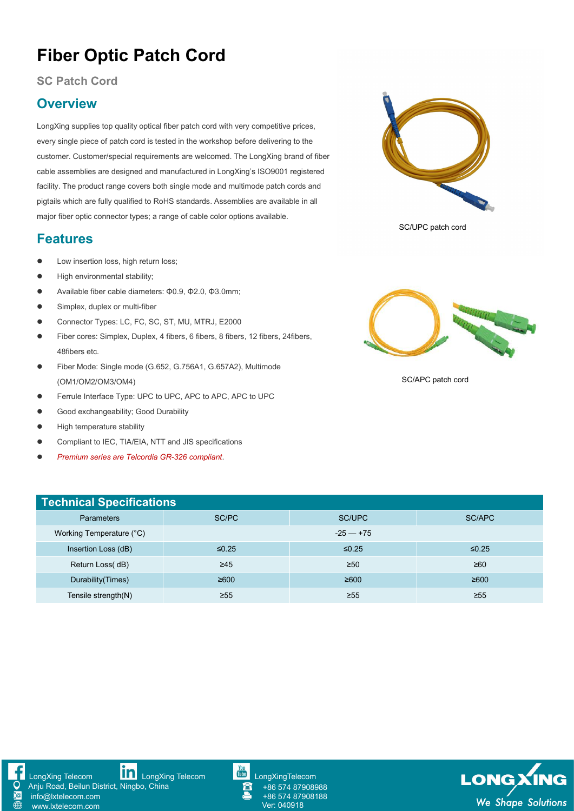# **Fiber Optic Patch Cord**

#### **SC Patch Cord**

### **Overview**

LongXing supplies top quality optical fiber patch cord with very competitive prices, every single piece of patch cord is tested in the workshop before delivering to the customer. Customer/special requirements are welcomed. The LongXing brand of fiber cable assemblies are designed and manufactured in LongXing's ISO9001 registered facility. The product range covers both single mode and multimode patch cords and pigtails which are fully qualified to RoHS standards. Assemblies are available in all major fiber optic connector types; a range of cable color options available.

#### **Features**

- **•** Low insertion loss, high return loss;
- **•** High environmental stability;
- Available fiber cable diameters: Φ0.9, Φ2.0, Φ3.0mm;
- **Simplex, duplex or multi-fiber**
- Connector Types: LC, FC, SC, ST, MU, MTRJ, E2000
- Fiber cores: Simplex, Duplex, 4 fibers, 6 fibers, 8 fibers, 12 fibers, 24fibers, 48fibers etc.
- Fiber Mode: Single mode (G.652, G.756A1, G.657A2), Multimode (OM1/OM2/OM3/OM4)
- Ferrule Interface Type: UPC to UPC, APC to APC, APC to UPC
- **Good exchangeability; Good Durability**
- **•** High temperature stability
- Compliant to IEC, TIA/EIA, NTT and JIS specifications
- *Premium series are Telcordia GR-326 compliant*.



SC/UPC patch cord



SC/APC patch cord

| <b>Technical Specifications</b> |             |             |           |  |  |  |  |  |  |  |  |
|---------------------------------|-------------|-------------|-----------|--|--|--|--|--|--|--|--|
| SC/PC<br><b>Parameters</b>      |             | SC/UPC      | SC/APC    |  |  |  |  |  |  |  |  |
| Working Temperature (°C)        | $-25 - 175$ |             |           |  |  |  |  |  |  |  |  |
| Insertion Loss (dB)             | $\leq 0.25$ | $\leq 0.25$ | ≤ $0.25$  |  |  |  |  |  |  |  |  |
| Return Loss(dB)                 | $\geq 45$   | $\geq 50$   | ≥60       |  |  |  |  |  |  |  |  |
| Durability (Times)              | ≥600        | ≥600        | ≥600      |  |  |  |  |  |  |  |  |
| Tensile strength(N)             | $\geq 55$   | $\geq 55$   | $\geq 55$ |  |  |  |  |  |  |  |  |



[www.lxtelecom.com](http://www.lxtelecom.com/)



Anju Road, Beilun District, Ningbo, China info@lxtelecom.com



**LONGXIN** Ver: <sup>040918</sup> *We Shape Solutions*